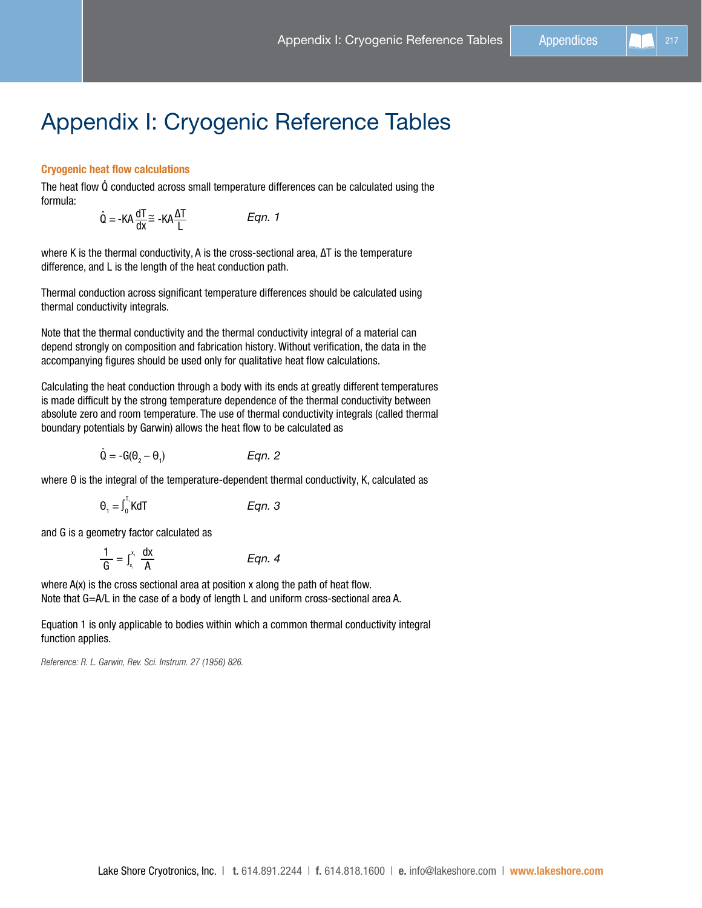# Appendix I: Cryogenic Reference Tables

## Cryogenic heat flow calculations

The heat flow Q conducted across small temperature differences can be calculated using the formula:

$$
\dot{Q} = -KA \frac{dT}{dx} \approx -KA \frac{\Delta T}{L}
$$
Eqn. 1

where K is the thermal conductivity, A is the cross-sectional area, ∆T is the temperature difference, and L is the length of the heat conduction path.

Thermal conduction across significant temperature differences should be calculated using thermal conductivity integrals.

Note that the thermal conductivity and the thermal conductivity integral of a material can depend strongly on composition and fabrication history. Without verification, the data in the accompanying figures should be used only for qualitative heat flow calculations.

Calculating the heat conduction through a body with its ends at greatly different temperatures is made difficult by the strong temperature dependence of the thermal conductivity between absolute zero and room temperature. The use of thermal conductivity integrals (called thermal boundary potentials by Garwin) allows the heat flow to be calculated as

$$
\dot{\mathbf{Q}} = -\mathbf{G}(\mathbf{\theta}_2 - \mathbf{\theta}_1) \qquad \qquad \text{Eqn. 2}
$$

where Θ is the integral of the temperature-dependent thermal conductivity, K, calculated as

$$
\Theta_1 = \int_0^{T_1} K dT
$$
 Eqn. 3

and G is a geometry factor calculated as

$$
\frac{1}{G} = \int_{x_i}^{x_i} \frac{dx}{A}
$$
 Eqn. 4

where A(x) is the cross sectional area at position x along the path of heat flow. Note that G=A/L in the case of a body of length L and uniform cross-sectional area A.

Equation 1 is only applicable to bodies within which a common thermal conductivity integral function applies.

*Reference: R. L. Garwin, Rev. Sci. Instrum. 27 (1956) 826.*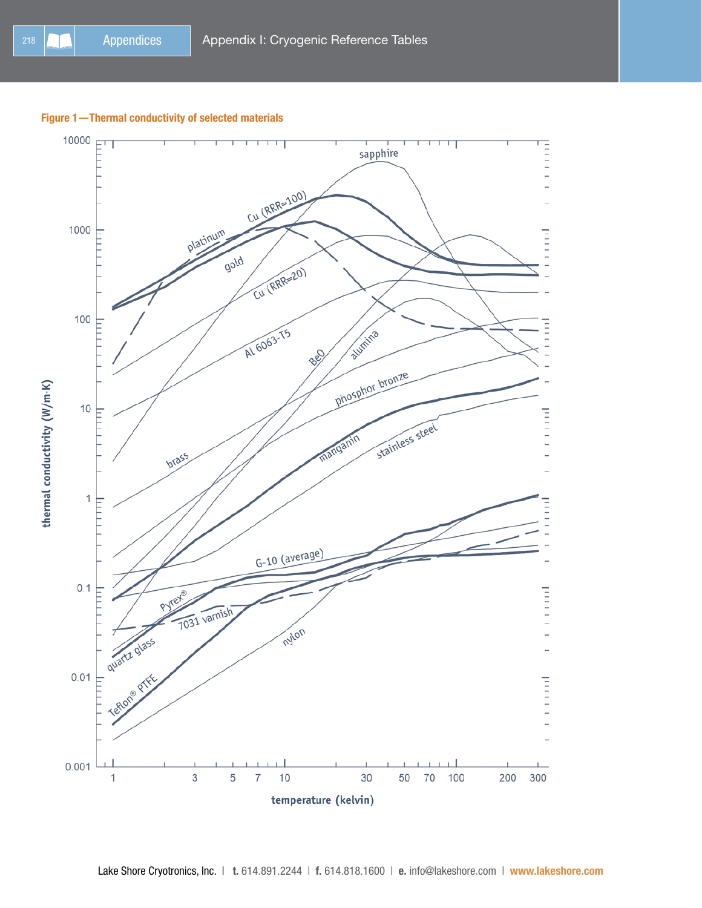## Figure 1—Thermal conductivity of selected materials

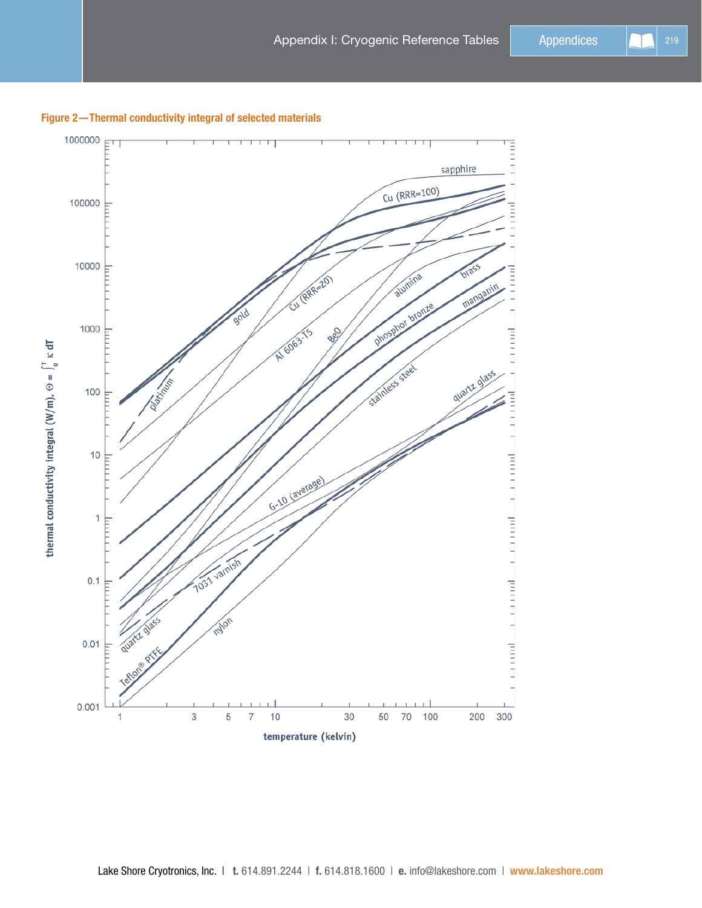

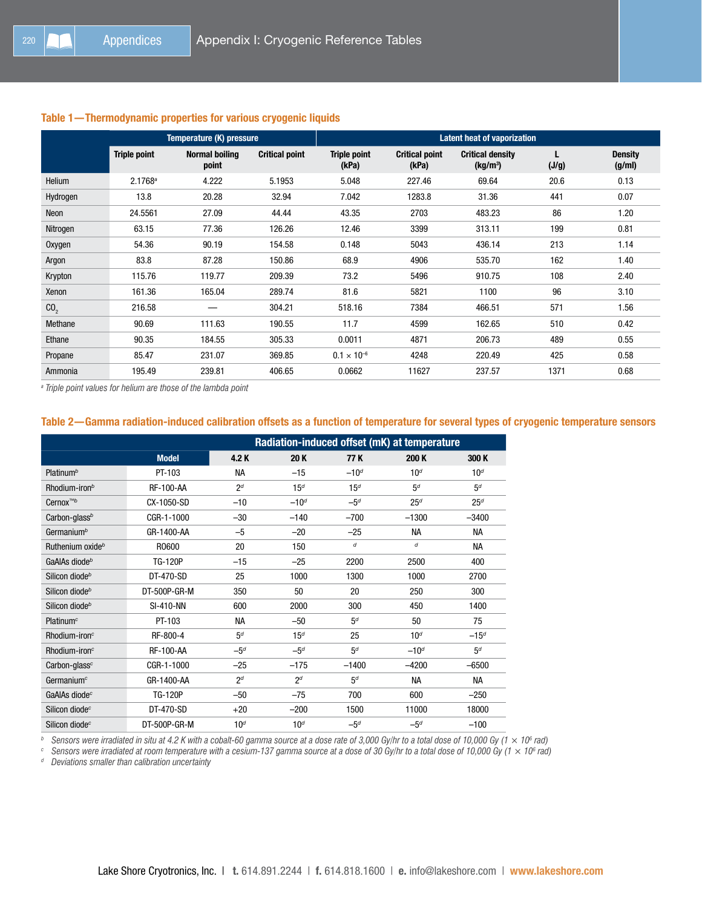## Table 1—Thermodynamic properties for various cryogenic liquids

|                 | Temperature (K) pressure |                                |                       | <b>Latent heat of vaporization</b> |                                |                                                 |       |                          |
|-----------------|--------------------------|--------------------------------|-----------------------|------------------------------------|--------------------------------|-------------------------------------------------|-------|--------------------------|
|                 | <b>Triple point</b>      | <b>Normal boiling</b><br>point | <b>Critical point</b> | <b>Triple point</b><br>(kPa)       | <b>Critical point</b><br>(kPa) | <b>Critical density</b><br>(kg/m <sup>3</sup> ) | (J/g) | <b>Density</b><br>(g/ml) |
| Helium          | $2.1768^a$               | 4.222                          | 5.1953                | 5.048                              | 227.46                         | 69.64                                           | 20.6  | 0.13                     |
| Hydrogen        | 13.8                     | 20.28                          | 32.94                 | 7.042                              | 1283.8                         | 31.36                                           | 441   | 0.07                     |
| Neon            | 24.5561                  | 27.09                          | 44.44                 | 43.35                              | 2703                           | 483.23                                          | 86    | 1.20                     |
| Nitrogen        | 63.15                    | 77.36                          | 126.26                | 12.46                              | 3399                           | 313.11                                          | 199   | 0.81                     |
| Oxygen          | 54.36                    | 90.19                          | 154.58                | 0.148                              | 5043                           | 436.14                                          | 213   | 1.14                     |
| Argon           | 83.8                     | 87.28                          | 150.86                | 68.9                               | 4906                           | 535.70                                          | 162   | 1.40                     |
| Krypton         | 115.76                   | 119.77                         | 209.39                | 73.2                               | 5496                           | 910.75                                          | 108   | 2.40                     |
| Xenon           | 161.36                   | 165.04                         | 289.74                | 81.6                               | 5821                           | 1100                                            | 96    | 3.10                     |
| CO <sub>2</sub> | 216.58                   |                                | 304.21                | 518.16                             | 7384                           | 466.51                                          | 571   | 1.56                     |
| Methane         | 90.69                    | 111.63                         | 190.55                | 11.7                               | 4599                           | 162.65                                          | 510   | 0.42                     |
| Ethane          | 90.35                    | 184.55                         | 305.33                | 0.0011                             | 4871                           | 206.73                                          | 489   | 0.55                     |
| Propane         | 85.47                    | 231.07                         | 369.85                | $0.1 \times 10^{-6}$               | 4248                           | 220.49                                          | 425   | 0.58                     |
| Ammonia         | 195.49                   | 239.81                         | 406.65                | 0.0662                             | 11627                          | 237.57                                          | 1371  | 0.68                     |

*a Triple point values for helium are those of the lambda point*

## Table 2—Gamma radiation-induced calibration offsets as a function of temperature for several types of cryogenic temperature sensors

|                              |                  | Radiation-induced offset (mK) at temperature |                 |                 |                 |                 |
|------------------------------|------------------|----------------------------------------------|-----------------|-----------------|-----------------|-----------------|
|                              | <b>Model</b>     | 4.2 K                                        | 20K             | 77 K            | 200 K           | 300 K           |
| Platinum <sup>b</sup>        | PT-103           | <b>NA</b>                                    | $-15$           | $-10^{d}$       | 10 <sup>d</sup> | 10 <sup>d</sup> |
| Rhodium-iron <sup>b</sup>    | <b>RF-100-AA</b> | 2 <sup>d</sup>                               | 15 <sup>d</sup> | 15 <sup>d</sup> | 5 <sup>d</sup>  | 5 <sup>d</sup>  |
| Cernox <sup>™b</sup>         | CX-1050-SD       | $-10$                                        | $-10d$          | $-5d$           | 25 <sup>d</sup> | 25 <sup>d</sup> |
| Carbon-glass <sup>b</sup>    | CGR-1-1000       | $-30$                                        | $-140$          | $-700$          | $-1300$         | $-3400$         |
| Germanium <sup>b</sup>       | GR-1400-AA       | $-5$                                         | $-20$           | $-25$           | <b>NA</b>       | <b>NA</b>       |
| Ruthenium oxide <sup>b</sup> | R0600            | 20                                           | 150             | d               | d               | <b>NA</b>       |
| GaAlAs diode <sup>b</sup>    | <b>TG-120P</b>   | $-15$                                        | $-25$           | 2200            | 2500            | 400             |
| Silicon diode <sup>b</sup>   | DT-470-SD        | 25                                           | 1000            | 1300            | 1000            | 2700            |
| Silicon diode <sup>b</sup>   | DT-500P-GR-M     | 350                                          | 50              | 20              | 250             | 300             |
| Silicon diode <sup>b</sup>   | <b>SI-410-NN</b> | 600                                          | 2000            | 300             | 450             | 1400            |
| Platinum <sup>c</sup>        | PT-103           | <b>NA</b>                                    | $-50$           | 5 <sup>d</sup>  | 50              | 75              |
| $Rhodium$ -iron $c$          | RF-800-4         | 5 <sup>d</sup>                               | 15 <sup>d</sup> | 25              | 10 <sup>d</sup> | $-15d$          |
| $Rhodium$ -iron $c$          | <b>RF-100-AA</b> | $-5d$                                        | $-5d$           | 5 <sup>d</sup>  | $-10^{d}$       | 5 <sup>d</sup>  |
| Carbon-glass <sup>c</sup>    | CGR-1-1000       | $-25$                                        | $-175$          | $-1400$         | $-4200$         | $-6500$         |
| Germanium <sup>c</sup>       | GR-1400-AA       | 2 <sup>d</sup>                               | 2 <sup>d</sup>  | 5 <sup>d</sup>  | NА              | NА              |
| GaAlAs diode <sup>c</sup>    | <b>TG-120P</b>   | $-50$                                        | $-75$           | 700             | 600             | $-250$          |
| Silicon diode <sup>c</sup>   | DT-470-SD        | $+20$                                        | $-200$          | 1500            | 11000           | 18000           |
| Silicon diode <sup>c</sup>   | DT-500P-GR-M     | 10 <sup>d</sup>                              | 10 <sup>d</sup> | $-5d$           | $-5d$           | $-100$          |

*<sup>b</sup> Sensors were irradiated in situ at 4.2 K with a cobalt-60 gamma source at a dose rate of 3,000 Gy/hr to a total dose of 10,000 Gy (1 × 106 rad)*

 $^c$  Sensors were irradiated at room temperature with a cesium-137 gamma source at a dose of 30 Gy/hr to a total dose of 10,000 Gy (1  $\times$  10 $^{\circ}$  rad)

*<sup>d</sup> Deviations smaller than calibration uncertainty*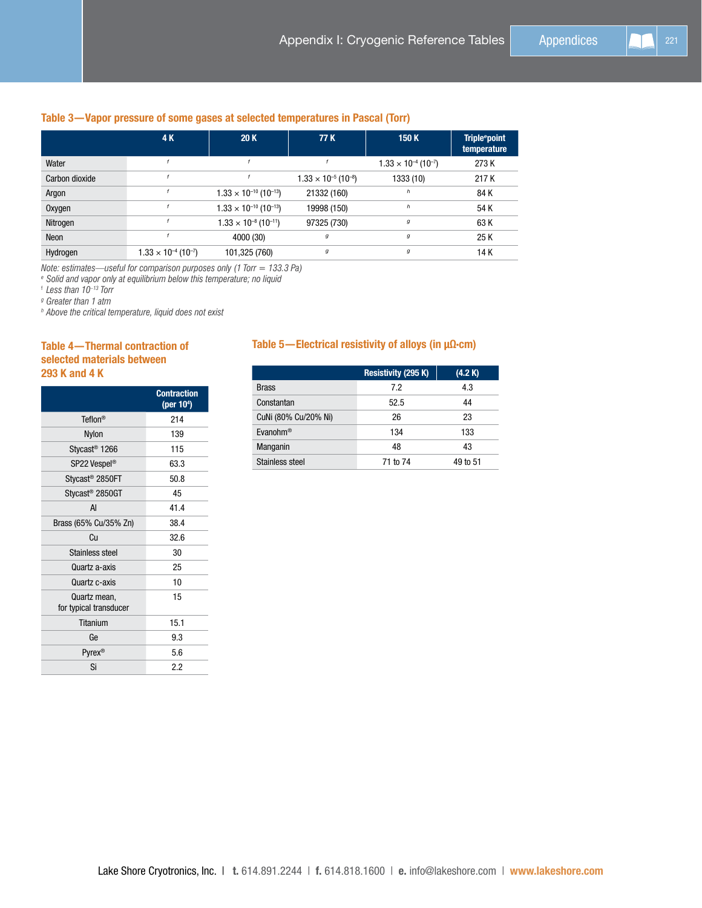# Table 3—Vapor pressure of some gases at selected temperatures in Pascal (Torr)

|                | 4 K                                       | 20K                                         | 77 K                                      | 150 K                                     | <b>Triple</b> <sup>e</sup> point<br>temperature |
|----------------|-------------------------------------------|---------------------------------------------|-------------------------------------------|-------------------------------------------|-------------------------------------------------|
| Water          |                                           |                                             |                                           | $1.33 \times 10^{-4}$ (10 <sup>-7</sup> ) | 273 K                                           |
| Carbon dioxide |                                           |                                             | $1.33 \times 10^{-5}$ (10 <sup>-8</sup> ) | 1333 (10)                                 | 217 K                                           |
| Argon          |                                           | $1.33 \times 10^{-10}$ (10 <sup>-13</sup> ) | 21332 (160)                               | h                                         | 84 K                                            |
| Oxygen         |                                           | $1.33 \times 10^{-10}$ (10 <sup>-13</sup> ) | 19998 (150)                               | h                                         | 54 K                                            |
| Nitrogen       |                                           | $1.33 \times 10^{-8}$ (10 <sup>-11</sup> )  | 97325 (730)                               | g                                         | 63 K                                            |
| Neon           |                                           | 4000 (30)                                   | $\boldsymbol{g}$                          | g                                         | 25K                                             |
| Hydrogen       | $1.33 \times 10^{-4}$ (10 <sup>-7</sup> ) | 101,325 (760)                               | g                                         | g                                         | 14 K                                            |

*Note: estimates—useful for comparison purposes only (1 Torr = 133.3 Pa)*

*<sup>e</sup> Solid and vapor only at equilibrium below this temperature; no liquid*

<sup>f</sup> *Less than 10–13 Torr*

*<sup>g</sup> Greater than 1 atm*

*<sup>h</sup> Above the critical temperature, liquid does not exist*

# Table 4—Thermal contraction of selected materials between 293 K and 4 K

|                                        | <b>Contraction</b><br>(per 10 <sup>4</sup> ) |
|----------------------------------------|----------------------------------------------|
| Teflon <sup>®</sup>                    | 214                                          |
| Nylon                                  | 139                                          |
| Stycast <sup>®</sup> 1266              | 115                                          |
| SP22 Vespel®                           | 63.3                                         |
| Stycast <sup>®</sup> 2850FT            | 50.8                                         |
| Stycast <sup>®</sup> 2850GT            | 45                                           |
| AI                                     | 41.4                                         |
| Brass (65% Cu/35% Zn)                  | 38.4                                         |
| Сu                                     | 32.6                                         |
| Stainless steel                        | 30                                           |
| Quartz a-axis                          | 25                                           |
| Quartz c-axis                          | 10                                           |
| Quartz mean,<br>for typical transducer | 15                                           |
| Titanium                               | 15.1                                         |
| Ge                                     | 9.3                                          |
| Pyrex <sup>®</sup>                     | 5.6                                          |
| Si                                     | 2.2                                          |

## Table 5—Electrical resistivity of alloys (in µΩ·cm)

|                      | Resistivity (295 K) | (4.2 K)  |
|----------------------|---------------------|----------|
| <b>Brass</b>         | 7.2                 | 4.3      |
| Constantan           | 52.5                | 44       |
| CuNi (80% Cu/20% Ni) | 26                  | 23       |
| Evanohm <sup>®</sup> | 134                 | 133      |
| Manganin             | 48                  | 43       |
| Stainless steel      | 71 to 74            | 49 to 51 |